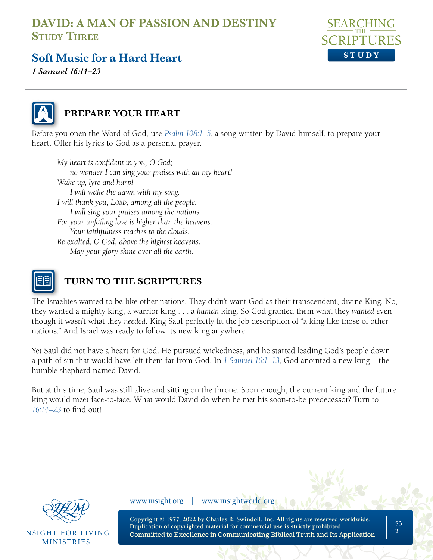

## **Soft Music for a Hard Heart**

*1 Samuel 16:14–23*



#### **PREPARE YOUR HEART**

Before you open the Word of God, use *[Psalm 108:1–5](https://www.biblegateway.com/passage/?search=Psalm+108&version=NLT;NASB1995)*, a song written by David himself, to prepare your heart. Offer his lyrics to God as a personal prayer.

*My heart is confident in you, O God; no wonder I can sing your praises with all my heart! Wake up, lyre and harp! I will wake the dawn with my song. I will thank you, Lord, among all the people. I will sing your praises among the nations. For your unfailing love is higher than the heavens. Your faithfulness reaches to the clouds. Be exalted, O God, above the highest heavens. May your glory shine over all the earth.*



## **TURN TO THE SCRIPTURES**

The Israelites wanted to be like other nations. They didn't want God as their transcendent, divine King. No, they wanted a mighty king, a warrior king . . . a *human* king. So God granted them what they *wanted* even though it wasn't what they *needed*. King Saul perfectly fit the job description of "a king like those of other nations." And Israel was ready to follow its new king anywhere.

Yet Saul did not have a heart for God. He pursued wickedness, and he started leading God's people down a path of sin that would have left them far from God. In *[1 Samuel 16:1–13](https://www.biblegateway.com/passage/?search=1+Samuel+16%3A1%E2%80%9313&version=NLT;NASB1995)*, God anointed a new king—the humble shepherd named David.

But at this time, Saul was still alive and sitting on the throne. Soon enough, the current king and the future king would meet face-to-face. What would David do when he met his soon-to-be predecessor? Turn to *[16:14–23](https://www.biblegateway.com/passage/?search=1+Samuel+16%3A14%E2%80%9323&version=NLT;NASB1995)* to find out!



**INSIGHT FOR LIVING MINISTRIES** 

www.insight.org | www.insightworld.org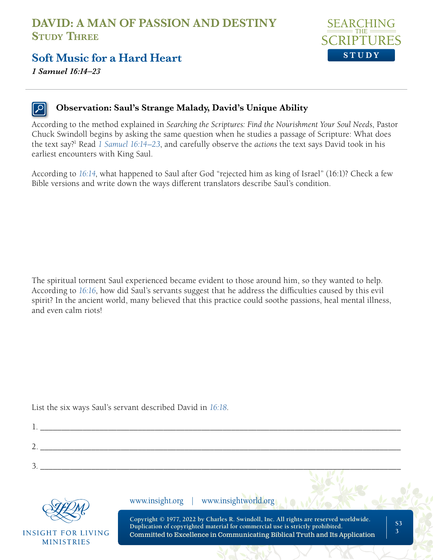

#### **Soft Music for a Hard Heart**

*1 Samuel 16:14–23*

#### **Observation: Saul's Strange Malady, David's Unique Ability**

According to the method explained in *Searching the Scriptures: Find the Nourishment Your Soul Needs*, Pastor Chuck Swindoll begins by asking the same question when he studies a passage of Scripture: What does the text say?<sup>1</sup> Read [1 Samuel 16:14–23](https://www.biblegateway.com/passage/?search=1+Samuel+16%3A14%E2%80%9323&version=NLT;NASB1995), and carefully observe the actions the text says David took in his earliest encounters with King Saul.

According to *[16:14](https://www.biblegateway.com/passage/?search=1%20Samuel%2016%3A14&version=NLT;NASB1995;ESV;NKJV;MSG)*, what happened to Saul after God "rejected him as king of Israel" (16:1)? Check a few Bible versions and write down the ways different translators describe Saul's condition.

The spiritual torment Saul experienced became evident to those around him, so they wanted to help. According to *[16:16](https://www.biblegateway.com/passage/?search=1+Samuel+16%3A16&version=NLT;NASB1995)*, how did Saul's servants suggest that he address the difficulties caused by this evil spirit? In the ancient world, many believed that this practice could soothe passions, heal mental illness, and even calm riots!

List the six ways Saul's servant described David in *[16:18](https://www.biblegateway.com/passage/?search=1+Samuel+16%3A18&version=NLT;NASB1995)*.

|                                                | www.insight.org   www.insightworld.org                                                                                                                                                                                                                                         |
|------------------------------------------------|--------------------------------------------------------------------------------------------------------------------------------------------------------------------------------------------------------------------------------------------------------------------------------|
| <b>INSIGHT FOR LIVING</b><br><b>MINISTRIES</b> | Copyright © 1977, 2022 by Charles R. Swindoll, Inc. All rights are reserved worldwide.<br>S <sub>3</sub><br>Duplication of copyrighted material for commercial use is strictly prohibited.<br>٦<br>Committed to Excellence in Communicating Biblical Truth and Its Application |
|                                                |                                                                                                                                                                                                                                                                                |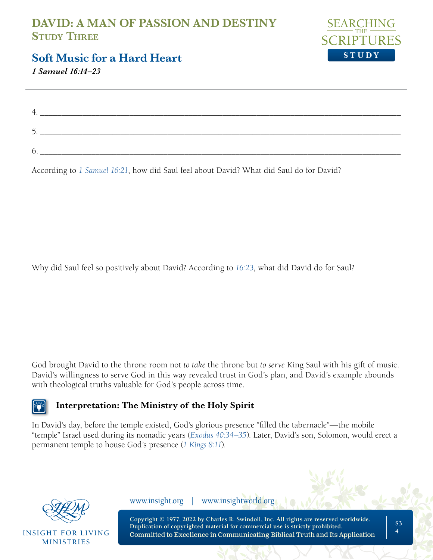

#### **Soft Music for a Hard Heart**

*1 Samuel 16:14–23*

| h |  |
|---|--|

According to *[1 Samuel 16:21](https://www.biblegateway.com/passage/?search=1+Samuel+16%3A21&version=NLT;NASB1995)*, how did Saul feel about David? What did Saul do for David?

Why did Saul feel so positively about David? According to *[16:23](https://www.biblegateway.com/passage/?search=1+Samuel+16%3A23&version=NLT;NASB1995)*, what did David do for Saul?

God brought David to the throne room not *to take* the throne but *to serve* King Saul with his gift of music. David's willingness to serve God in this way revealed trust in God's plan, and David's example abounds with theological truths valuable for God's people across time.



#### **Interpretation: The Ministry of the Holy Spirit**

In David's day, before the temple existed, God's glorious presence "filled the tabernacle"—the mobile "temple" Israel used during its nomadic years (*[Exodus 40:34–35](https://www.biblegateway.com/passage/?search=Exodus+40%3A34%E2%80%9335&version=NLT;NASB1995)*). Later, David's son, Solomon, would erect a permanent temple to house God's presence (*[1 Kings 8:11](https://www.biblegateway.com/passage/?search=1+Kings+8%3A11&version=NLT;NASB1995)*).



**INSIGHT FOR LIVING MINISTRIES** 

www.insight.org | www.insightworld.org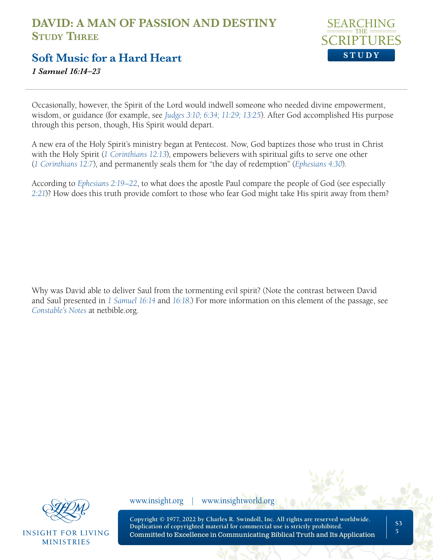

#### **Soft Music for a Hard Heart**

*1 Samuel 16:14–23*

Occasionally, however, the Spirit of the Lord would indwell someone who needed divine empowerment, wisdom, or guidance (for example, see *[Judges 3:10; 6:34; 11:29; 13:25](https://www.biblegateway.com/passage/?search=Judges+3%3A10%3B+6%3A34%3B+11%3A29%3B+13%3A25&version=NLT;NASB1995)*). After God accomplished His purpose through this person, though, His Spirit would depart.

A new era of the Holy Spirit's ministry began at Pentecost. Now, God baptizes those who trust in Christ with the Holy Spirit (*[1 Corinthians 12:13](https://www.biblegateway.com/passage/?search=1+Corinthians+12%3A13&version=NLT;NASB1995)*), empowers believers with spiritual gifts to serve one other (*[1 Corinthians 12:7](https://www.biblegateway.com/passage/?search=1+Corinthians+12%3A7&version=NLT;NASB1995)*), and permanently seals them for "the day of redemption" (*[Ephesians 4:30](https://www.biblegateway.com/passage/?search=Ephesians+4%3A30&version=NLT;NASB1995)*).

According to *[Ephesians 2:19–22](https://www.biblegateway.com/passage/?search=Ephesians+2%3A19%E2%80%9322&version=NLT;NASB1995)*, to what does the apostle Paul compare the people of God (see especially *[2:21](https://www.biblegateway.com/passage/?search=Ephesians+2%3A21&version=NLT;NASB1995)*)? How does this truth provide comfort to those who fear God might take His spirit away from them?

Why was David able to deliver Saul from the tormenting evil spirit? (Note the contrast between David and Saul presented in *[1 Samuel 16:14](https://www.biblegateway.com/passage/?search=1+Samuel+16%3A14%2C+16%3A18&version=NLT;NASB1995)* and *16:18*.) For more information on this element of the passage, see *[Constable's Notes](https://netbible.org/bible/1+Samuel+16)* at netbible.org.



**INSIGHT FOR LIVING MINISTRIES** 

www.insight.org | www.insightworld.org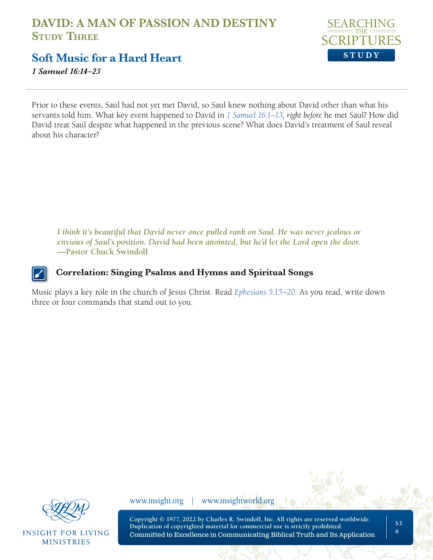

**Soft Music for a Hard Heart**

*1 Samuel 16:14–23*

Prior to these events, Saul had not yet met David, so Saul knew nothing about David other than what his servants told him. What key event happened to David in *[1 Samuel 16:1–13](https://www.biblegateway.com/passage/?search=1+Samuel+16%3A1%E2%80%9313&version=NLT;NASB1995)*, *right before* he met Saul? How did David treat Saul despite what happened in the previous scene? What does David's treatment of Saul reveal about his character?

*I think it's beautiful that David never once pulled rank on Saul. He was never jealous or envious of Saul's position. David had been anointed, but he'd let the Lord open the door.*  **—Pastor Chuck Swindoll**

**Correlation: Singing Psalms and Hymns and Spiritual Songs**

Music plays a key role in the church of Jesus Christ. Read *[Ephesians 5:15–20](https://www.biblegateway.com/passage/?search=Ephesians+5%3A15%E2%80%9320&version=NLT;NASB1995)*. As you read, write down three or four commands that stand out to you.



**INSIGHT FOR LIVING MINISTRIES** 

www.insight.org | www.insightworld.org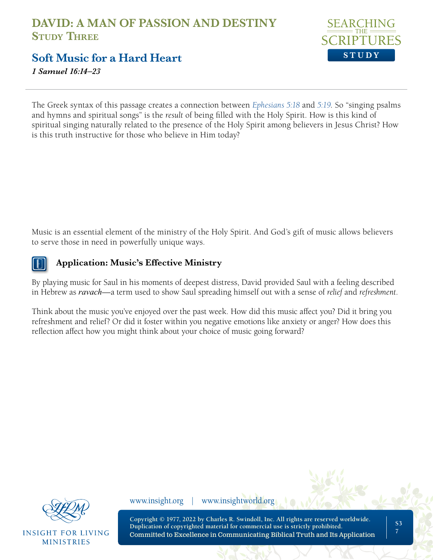

**Soft Music for a Hard Heart**

*1 Samuel 16:14–23*

The Greek syntax of this passage creates a connection between *[Ephesians 5:18](https://www.biblegateway.com/passage/?search=Ephesians+5%3A18-19&version=NLT;NASB1995)* and *5:19*. So "singing psalms and hymns and spiritual songs" is the *result* of being filled with the Holy Spirit. How is this kind of spiritual singing naturally related to the presence of the Holy Spirit among believers in Jesus Christ? How is this truth instructive for those who believe in Him today?

Music is an essential element of the ministry of the Holy Spirit. And God's gift of music allows believers to serve those in need in powerfully unique ways.



#### **Application: Music's Effective Ministry**

By playing music for Saul in his moments of deepest distress, David provided Saul with a feeling described in Hebrew as *ravach*—a term used to show Saul spreading himself out with a sense of *relief* and *refreshment*.

Think about the music you've enjoyed over the past week. How did this music affect you? Did it bring you refreshment and relief? Or did it foster within you negative emotions like anxiety or anger? How does this reflection affect how you might think about your choice of music going forward?



**INSIGHT FOR LIVING MINISTRIES** 

www.insight.org | www.insightworld.org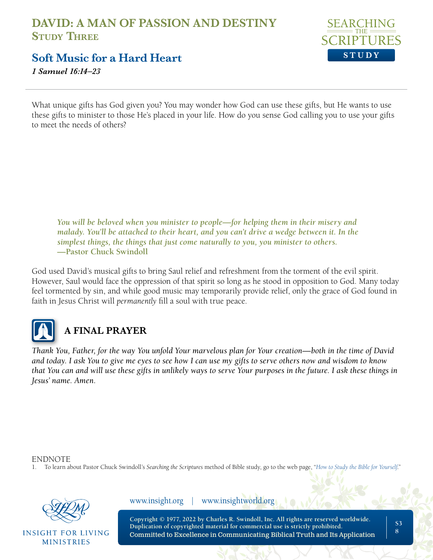### **DAVID: A MAN OF PASSION AND DESTINY Study Three**



**Soft Music for a Hard Heart**

*1 Samuel 16:14–23*

What unique gifts has God given you? You may wonder how God can use these gifts, but He wants to use these gifts to minister to those He's placed in your life. How do you sense God calling you to use your gifts to meet the needs of others?

*You will be beloved when you minister to people—for helping them in their misery and malady. You'll be attached to their heart, and you can't drive a wedge between it. In the simplest things, the things that just come naturally to you, you minister to others.*  **—Pastor Chuck Swindoll**

God used David's musical gifts to bring Saul relief and refreshment from the torment of the evil spirit. However, Saul would face the oppression of that spirit so long as he stood in opposition to God. Many today feel tormented by sin, and while good music may temporarily provide relief, only the grace of God found in faith in Jesus Christ will *permanently* fill a soul with true peace.



# **A FINAL PRAYER**

*Thank You, Father, for the way You unfold Your marvelous plan for Your creation—both in the time of David and today. I ask You to give me eyes to see how I can use my gifts to serve others now and wisdom to know that You can and will use these gifts in unlikely ways to serve Your purposes in the future. I ask these things in Jesus' name. Amen.*

ENDNOTE

1. To learn about Pastor Chuck Swindoll's *Searching the Scriptures* method of Bible study, go to the web page, "*[How to Study the Bible for Yourself](https://sts.insight.org/)*."



**INSIGHT FOR LIVING MINISTRIES** 

www.insight.org | www.insightworld.org